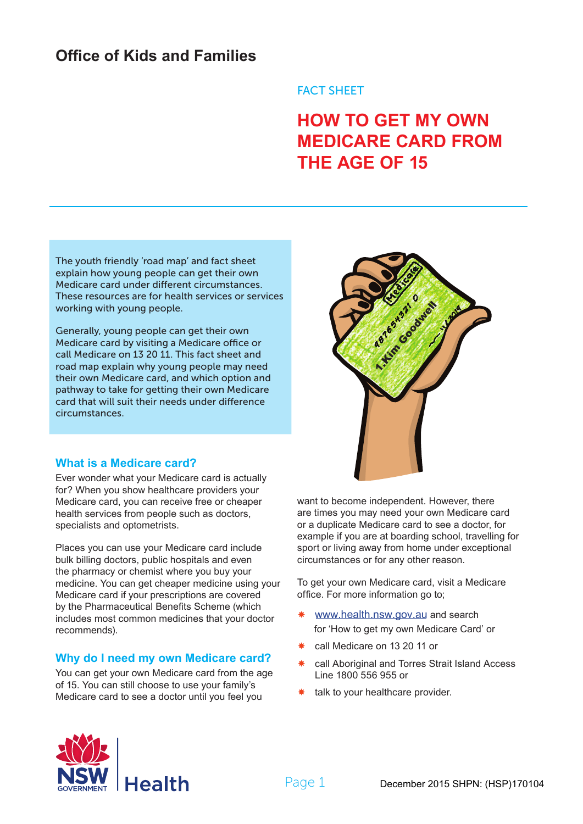# **Office of Kids and Families**

# FACT SHEET

# **HOW TO GET MY OWN MEDICARE CARD FROM THE AGE OF 15**

The youth friendly 'road map' and fact sheet explain how young people can get their own Medicare card under different circumstances. These resources are for health services or services working with young people.

Generally, young people can get their own Medicare card by visiting a Medicare office or call Medicare on 13 20 11. This fact sheet and road map explain why young people may need their own Medicare card, and which option and pathway to take for getting their own Medicare card that will suit their needs under difference circumstances.

# **What is a Medicare card?**

Ever wonder what your Medicare card is actually for? When you show healthcare providers your Medicare card, you can receive free or cheaper health services from people such as doctors, specialists and optometrists.

Places you can use your Medicare card include bulk billing doctors, public hospitals and even the pharmacy or chemist where you buy your medicine. You can get cheaper medicine using your Medicare card if your prescriptions are covered by the Pharmaceutical Benefits Scheme (which includes most common medicines that your doctor recommends).

# **Why do I need my own Medicare card?**

You can get your own Medicare card from the age of 15. You can still choose to use your family's Medicare card to see a doctor until you feel you



want to become independent. However, there are times you may need your own Medicare card or a duplicate Medicare card to see a doctor, for example if you are at boarding school, travelling for sport or living away from home under exceptional circumstances or for any other reason.

To get your own Medicare card, visit a Medicare office. For more information go to;

- www.[health](http://www.health.nsw.gov.au/Pages/default.aspx).nsw.gov.au and search for 'How to get my own Medicare Card' or
- \* call Medicare on 13 20 11 or
- call Aboriginal and Torres Strait Island Access Line 1800 556 955 or
- $*$  talk to your healthcare provider.

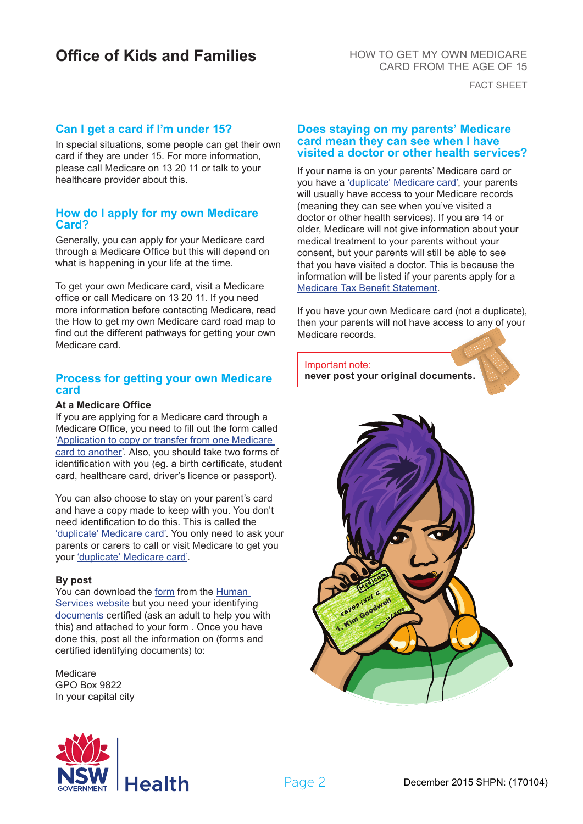# **Office of Kids and Families**

HOW TO GET MY OWN MEDICARE CARD FROM THE AGE OF 15

FACT SHEET

### **Can I get a card if I'm under 15?**

In special situations, some people can get their own card if they are under 15. For more information, please call Medicare on 13 20 11 or talk to your healthcare provider about this.

#### **How do I apply for my own Medicare Card?**

Generally, you can apply for your Medicare card through a Medicare Office but this will depend on what is happening in your life at the time.

To get your own Medicare card, visit a Medicare office or call Medicare on 13 20 11. If you need more information before contacting Medicare, read the How to get my own Medicare card road map to find out the different pathways for getting your own Medicare card.

#### **Process for getting your own Medicare card**

#### **At a Medicare Office**

If you are applying for a Medicare card through a Medicare Office, you need to fill out the form called ['Application to copy or transfer from one Medicare](http://www.humanservices.gov.au/spw/customer/forms/resources/3170-1308en.pdf)  [card to another'.](http://www.humanservices.gov.au/spw/customer/forms/resources/3170-1308en.pdf) Also, you should take two forms of identification with you (eg. a birth certificate, student card, healthcare card, driver's licence or passport).

You can also choose to stay on your parent's card and have a copy made to keep with you. You don't need identification to do this. This is called the ['duplicate' Medicare card'.](http://www.humanservices.gov.au/customer/services/medicare/medicare-card) You only need to ask your parents or carers to call or visit Medicare to get you your ['duplicate' Medicare card'.](http://www.humanservices.gov.au/customer/services/medicare/medicare-card)

#### **By post**

You can download the form from the Human [Services website](http://www.humanservices.gov.au) but you need your identifying [documents](http://www.humanservices.gov.au/spw/customer/forms/resources/ss231-1507en.pdf) certified (ask an adult to help you with this) and attached to your form . Once you have done this, post all the information on (forms and certified identifying documents) to:

Medicare GPO Box 9822 In your capital city

#### **Does staying on my parents' Medicare card mean they can see when I have visited a doctor or other health services?**

If your name is on your parents' Medicare card or you have a ['duplicate' Medicare card',](http://www.humanservices.gov.au/customer/services/medicare/medicare-card) your parents will usually have access to your Medicare records (meaning they can see when you've visited a doctor or other health services). If you are 14 or older, Medicare will not give information about your medical treatment to your parents without your consent, but your parents will still be able to see that you have visited a doctor. This is because the information will be listed if your parents apply for a [Medicare Tax Benefit Statement](http://www.humanservices.gov.au/customer/services/medicare/medicare-benefit-tax-statement).

If you have your own Medicare card (not a duplicate), then your parents will not have access to any of your Medicare records.

Important note: **never post your original documents.**